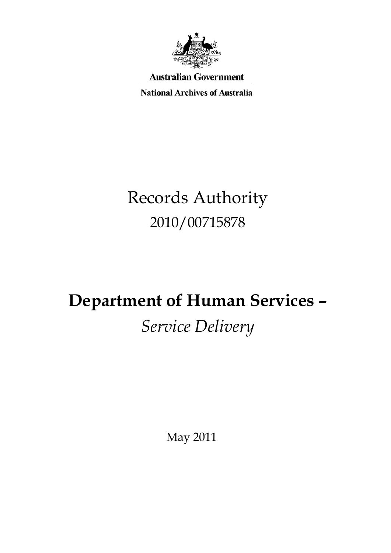

**Australian Government** 

**National Archives of Australia** 

# Records Authority<br>2010/00715878 2010/00715878

# **Department of Human Services –***Service Delivery*

May 2011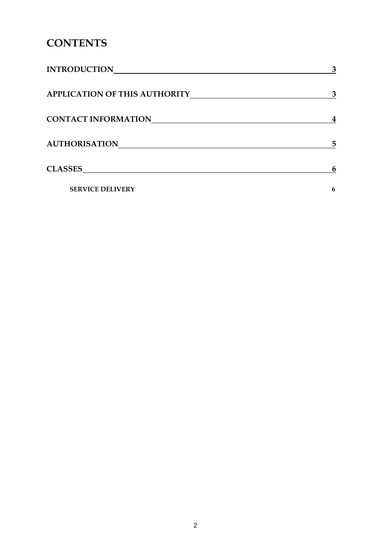## **CONTENTS**

|                                              | $\overline{3}$   |
|----------------------------------------------|------------------|
|                                              | $\mathbf{3}$     |
| CONTACT INFORMATIONNALLY CONTACT INFORMATION | $\boldsymbol{4}$ |
| AUTHORISATION                                | 5                |
|                                              | 6                |
| <b>SERVICE DELIVERY</b>                      | $\boldsymbol{6}$ |
|                                              |                  |
|                                              |                  |
|                                              |                  |
|                                              |                  |
|                                              |                  |
|                                              |                  |
|                                              |                  |
|                                              |                  |
|                                              |                  |
|                                              |                  |
|                                              |                  |
|                                              |                  |
|                                              |                  |
| $\overline{2}$                               |                  |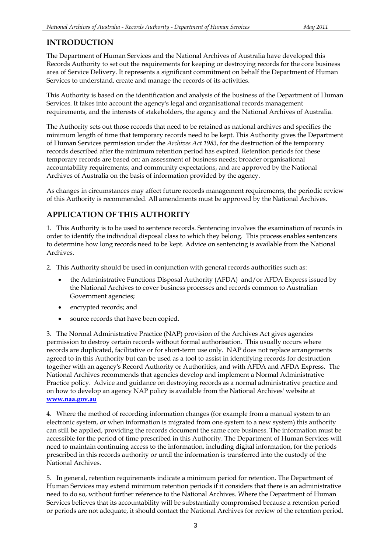### **INTRODUCTION**

 The Department of Human Services and the National Archives of Australia have developed this Records Authority to set out the requirements for keeping or destroying records for the core business area of Service Delivery. It represents a significant commitment on behalf the Department of Human Services to understand, create and manage the records of its activities.

 This Authority is based on the identification and analysis of the business of the Department of Human Services. It takes into account the agency's legal and organisational records management requirements, and the interests of stakeholders, the agency and the National Archives of Australia.

 The Authority sets out those records that need to be retained as national archives and specifies the minimum length of time that temporary records need to be kept. This Authority gives the Department of Human Services permission under the *Archives Act 1983*, for the destruction of the temporary records described after the minimum retention period has expired. Retention periods for these temporary records are based on: an assessment of business needs; broader organisational accountability requirements; and community expectations, and are approved by the National Archives of Australia on the basis of information provided by the agency.

 As changes in circumstances may affect future records management requirements, the periodic review of this Authority is recommended. All amendments must be approved by the National Archives.

### **APPLICATION OF THIS AUTHORITY**

 1. This Authority is to be used to sentence records. Sentencing involves the examination of records in order to identify the individual disposal class to which they belong. This process enables sentencers to determine how long records need to be kept. Advice on sentencing is available from the National Archives.

- 2. This Authority should be used in conjunction with general records authorities such as:
	- the Administrative Functions Disposal Authority (AFDA) and/or AFDA Express issued by the National Archives to cover business processes and records common to Australian Government agencies;
	- encrypted records; and  $\bullet$
	- source records that have been copied.  $\bullet$

 3. The Normal Administrative Practice (NAP) provision of the Archives Act gives agencies permission to destroy certain records without formal authorisation. This usually occurs where records are duplicated, facilitative or for short-term use only. NAP does not replace arrangements agreed to in this Authority but can be used as a tool to assist in identifying records for destruction together with an agency's Record Authority or Authorities, and with AFDA and AFDA Express. The National Archives recommends that agencies develop and implement a Normal Administrative Practice policy. Advice and guidance on destroying records as a normal administrative practice and on how to develop an agency NAP policy is available from the National Archives' website at **[www.naa.gov.au](http://www.naa.gov.au/)** 

 4. Where the method of recording information changes (for example from a manual system to an electronic system, or when information is migrated from one system to a new system) this authority can still be applied, providing the records document the same core business. The information must be accessible for the period of time prescribed in this Authority. The Department of Human Services will need to maintain continuing access to the information, including digital information, for the periods prescribed in this records authority or until the information is transferred into the custody of the National Archives.

 5. In general, retention requirements indicate a minimum period for retention. The Department of Human Services may extend minimum retention periods if it considers that there is an administrative need to do so, without further reference to the National Archives. Where the Department of Human Services believes that its accountability will be substantially compromised because a retention period or periods are not adequate, it should contact the National Archives for review of the retention period.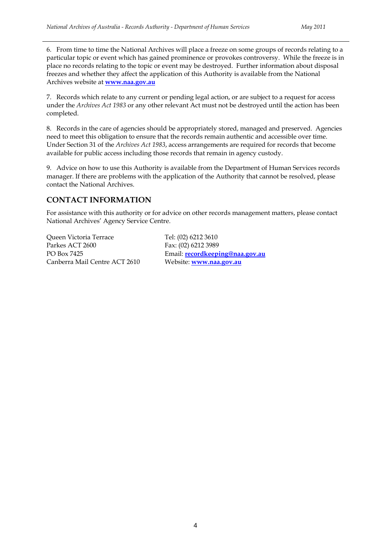6. From time to time the National Archives will place a freeze on some groups of records relating to a particular topic or event which has gained prominence or provokes controversy. While the freeze is in place no records relating to the topic or event may be destroyed. Further information about disposal freezes and whether they affect the application of this Authority is available from the National Archives website at **[www.naa.gov.au](http://www.naa.gov.au/)** 

 7. Records which relate to any current or pending legal action, or are subject to a request for access under the *Archives Act 1983* or any other relevant Act must not be destroyed until the action has been completed.

completed.<br>8. Records in the care of agencies should be appropriately stored, managed and preserved. Agencies need to meet this obligation to ensure that the records remain authentic and accessible over time. Under Section 31 of the *Archives Act 1983*, access arrangements are required for records that become available for public access including those records that remain in agency custody.

 9. Advice on how to use this Authority is available from the Department of Human Services records manager. If there are problems with the application of the Authority that cannot be resolved, please contact the National Archives.

#### **CONTACT INFORMATION**

 For assistance with this authority or for advice on other records management matters, please contact National Archives' Agency Service Centre.

 Queen Victoria Terrace Tel: (02) 6212 3610 Parkes ACT 2600 PO Box 7425 Canberra Mail Centre ACT 2610 Website: **[www.naa.gov.au](http://www.naa.gov.au/)** 

Fax: (02) 6212 3989 Email: **recordkeeping@naa.gov.au**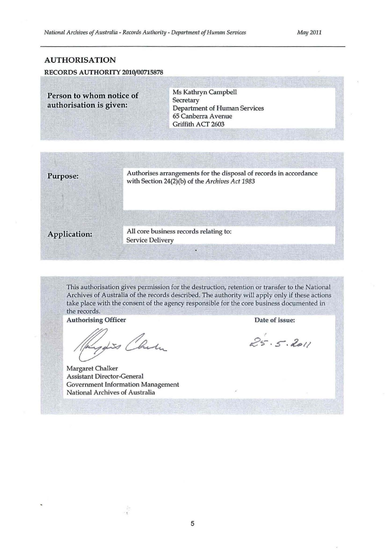#### AUTHORISATION

#### RECORDS AUTHORITY 2010/00715878

**Person to whom notice of Ms Kathryn Campbell<br>
Authorisation is given:** Department of Human Services 65 Canberra A venue Griffith ACT 2603



This authorisation gives permission for the destruction, retention or transfer to the National Archives of Australia of the records described. The authority will apply only if these actions take place with the consent of the agency responsible for the core business documented in the records.

Authorising Officer Date of issue:

Johns Chelu

Margaret Chalker Assistant Director-General Government Information Management National Archives of Australia

 $\frac{1}{2}$ 

 $25.5.2011$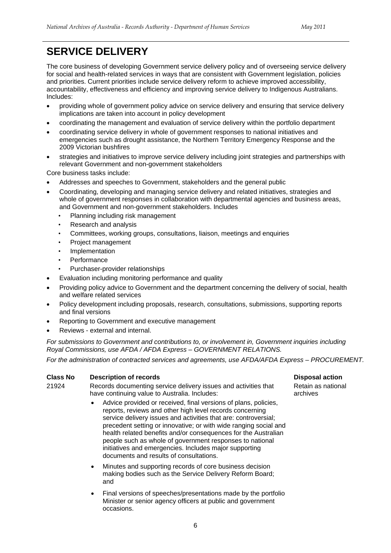## **SERVICE DELIVERY**

 The core business of developing Government service delivery policy and of overseeing service delivery for social and health-related services in ways that are consistent with Government legislation, policies and priorities. Current priorities include service delivery reform to achieve improved accessibility, accountability, effectiveness and efficiency and improving service delivery to Indigenous Australians. Includes:

- •providing whole of government policy advice on service delivery and ensuring that service delivery implications are taken into account in policy development
- •coordinating the management and evaluation of service delivery within the portfolio department
- •coordinating service delivery in whole of government responses to national initiatives and emergencies such as drought assistance, the Northern Territory Emergency Response and the 2009 Victorian bushfires
- •strategies and initiatives to improve service delivery including joint strategies and partnerships with relevant Government and non-government stakeholders Core business tasks include:

Core business tasks include:

- •Addresses and speeches to Government, stakeholders and the general public
- •Coordinating, developing and managing service delivery and related initiatives, strategies and whole of government responses in collaboration with departmental agencies and business areas, and Government and non-government stakeholders. Includes
	- •Planning including risk management
	- •Research and analysis
	- •Committees, working groups, consultations, liaison, meetings and enquiries  $\bullet$
	- •Project management
	- **Implementation**
	- **Performance**
	- •Purchaser-provider relationships
- •Evaluation including monitoring performance and quality
- •Providing policy advice to Government and the department concerning the delivery of social, health and welfare related services
- •Policy development including proposals, research, consultations, submissions, supporting reports and final versions
- •Reporting to Government and executive management
- •Reviews external and internal.

 *For submissions to Government and contributions to, or involvement in, Government inquiries including Royal Commissions, use AFDA / AFDA Express – GOVERNMENT RELATIONS.* 

 *For the administration of contracted services and agreements, use AFDA/AFDA Express – PROCUREMENT.* 

#### **Class No Conserversity** Description of records **Disposal action**

21924 Records documenting service delivery issues and activities that Retain as national 21924 have continuing value to Australia. Includes: and archives

- •Advice provided or received, final versions of plans, policies, reports, reviews and other high level records concerning service delivery issues and activities that are: controversial; precedent setting or innovative; or with wide ranging social and health related benefits and/or consequences for the Australian people such as whole of government responses to national initiatives and emergencies. Includes major supporting documents and results of consultations.  $\bullet$
- •Minutes and supporting records of core business decision making bodies such as the Service Delivery Reform Board;<br>and  $\bullet$ and
- •Final versions of speeches/presentations made by the portfolio Minister or senior agency officers at public and government occasions.

Retain as national